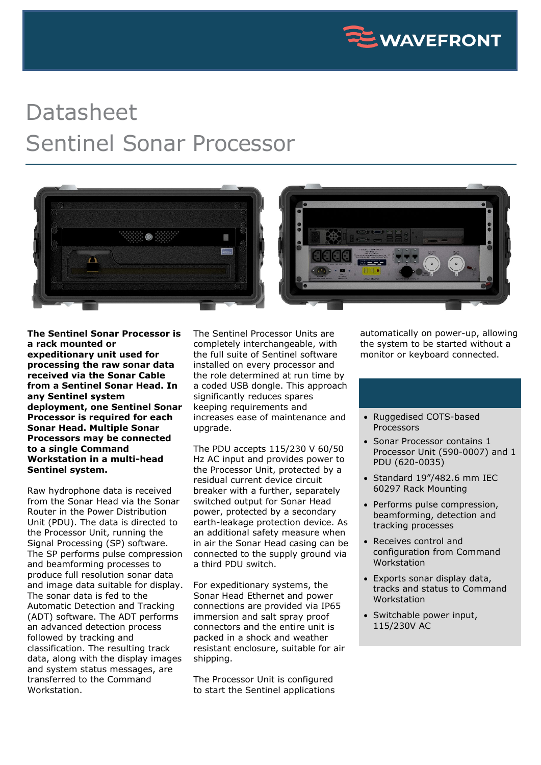

## Datasheet Sentinel Sonar Processor



**The Sentinel Sonar Processor is a rack mounted or expeditionary unit used for processing the raw sonar data received via the Sonar Cable from a Sentinel Sonar Head. In any Sentinel system deployment, one Sentinel Sonar Processor is required for each Sonar Head. Multiple Sonar Processors may be connected to a single Command Workstation in a multi-head Sentinel system.**

Raw hydrophone data is received from the Sonar Head via the Sonar Router in the Power Distribution Unit (PDU). The data is directed to the Processor Unit, running the Signal Processing (SP) software. The SP performs pulse compression and beamforming processes to produce full resolution sonar data and image data suitable for display. The sonar data is fed to the Automatic Detection and Tracking (ADT) software. The ADT performs an advanced detection process followed by tracking and classification. The resulting track data, along with the display images and system status messages, are transferred to the Command Workstation.

The Sentinel Processor Units are completely interchangeable, with the full suite of Sentinel software installed on every processor and the role determined at run time by a coded USB dongle. This approach significantly reduces spares keeping requirements and increases ease of maintenance and upgrade.

The PDU accepts 115/230 V 60/50 Hz AC input and provides power to the Processor Unit, protected by a residual current device circuit breaker with a further, separately switched output for Sonar Head power, protected by a secondary earth-leakage protection device. As an additional safety measure when in air the Sonar Head casing can be connected to the supply ground via a third PDU switch.

For expeditionary systems, the Sonar Head Ethernet and power connections are provided via IP65 immersion and salt spray proof connectors and the entire unit is packed in a shock and weather resistant enclosure, suitable for air shipping.

The Processor Unit is configured to start the Sentinel applications automatically on power-up, allowing the system to be started without a monitor or keyboard connected.

- Ruggedised COTS-based Processors
- Sonar Processor contains 1 Processor Unit (590-0007) and 1 PDU (620-0035)
- Standard 19"/482.6 mm IEC 60297 Rack Mounting
- Performs pulse compression, beamforming, detection and tracking processes
- Receives control and configuration from Command Workstation
- Exports sonar display data, tracks and status to Command Workstation
- Switchable power input, 115/230V AC